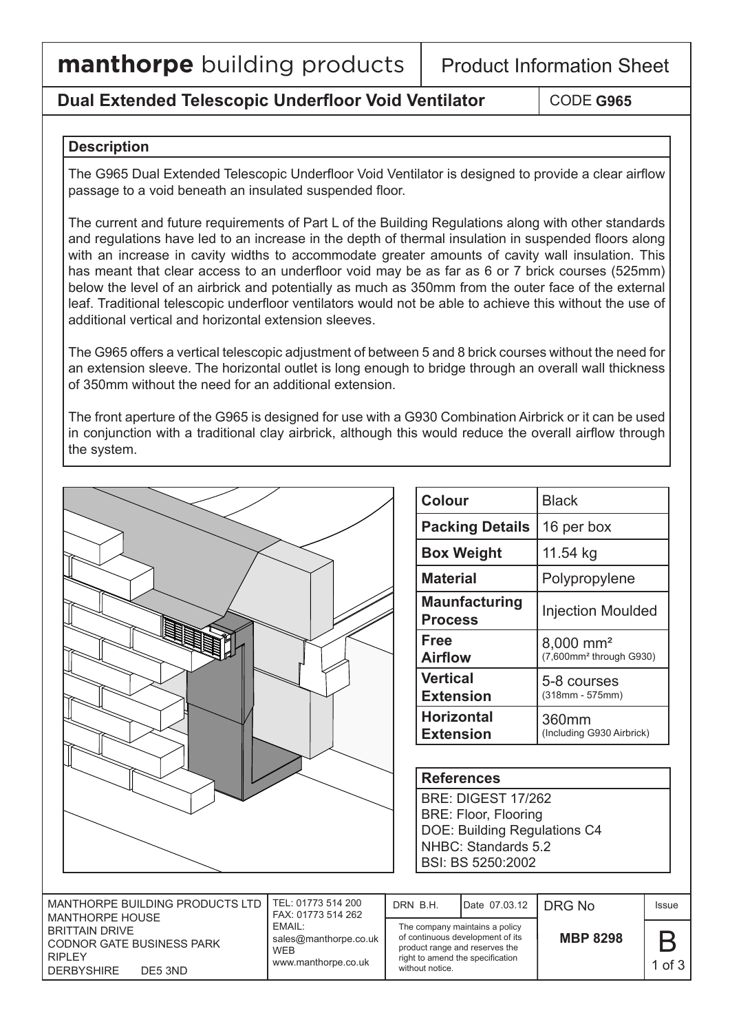## **Dual Extended Telescopic Underfloor Void Ventilator**

## **Description**

The G965 Dual Extended Telescopic Underfloor Void Ventilator is designed to provide a clear airflow passage to a void beneath an insulated suspended floor.

The current and future requirements of Part L of the Building Regulations along with other standards and regulations have led to an increase in the depth of thermal insulation in suspended floors along with an increase in cavity widths to accommodate greater amounts of cavity wall insulation. This has meant that clear access to an underfloor void may be as far as 6 or 7 brick courses (525mm) below the level of an airbrick and potentially as much as 350mm from the outer face of the external leaf. Traditional telescopic underfloor ventilators would not be able to achieve this without the use of additional vertical and horizontal extension sleeves.

The G965 offers a vertical telescopic adjustment of between 5 and 8 brick courses without the need for an extension sleeve. The horizontal outlet is long enough to bridge through an overall wall thickness of 350mm without the need for an additional extension.

The front aperture of the G965 is designed for use with a G930 Combination Airbrick or it can be used in conjunction with a traditional clay airbrick, although this would reduce the overall airflow through the system.

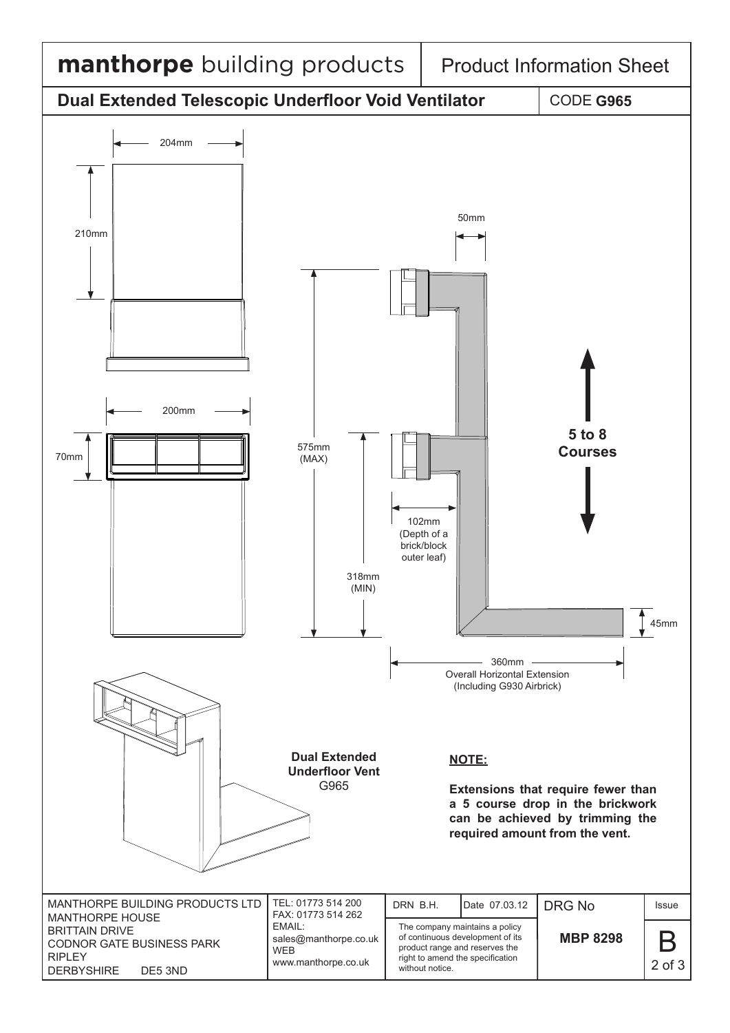